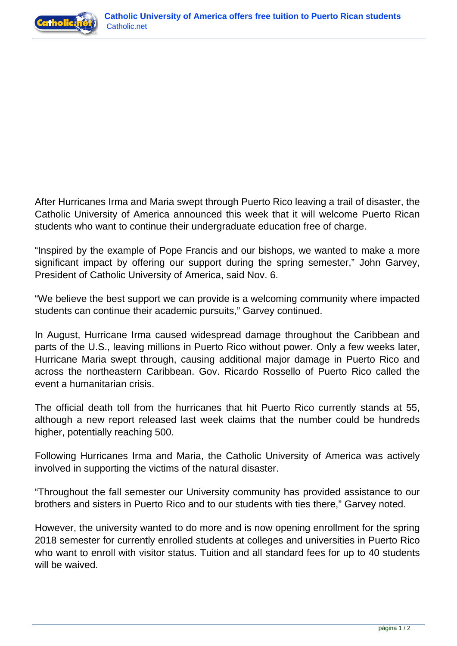



After Hurricanes Irma and Maria swept through Puerto Rico leaving a trail of disaster, the Catholic University of America announced this week that it will welcome Puerto Rican students who want to continue their undergraduate education free of charge.

"Inspired by the example of Pope Francis and our bishops, we wanted to make a more significant impact by offering our support during the spring semester," John Garvey, President of Catholic University of America, said Nov. 6.

"We believe the best support we can provide is a welcoming community where impacted students can continue their academic pursuits," Garvey continued.

In August, Hurricane Irma caused widespread damage throughout the Caribbean and parts of the U.S., leaving millions in Puerto Rico without power. Only a few weeks later, Hurricane Maria swept through, causing additional major damage in Puerto Rico and across the northeastern Caribbean. Gov. Ricardo Rossello of Puerto Rico called the event a humanitarian crisis.

The official death toll from the hurricanes that hit Puerto Rico currently stands at 55, although a new report released last week claims that the number could be hundreds higher, potentially reaching 500.

Following Hurricanes Irma and Maria, the Catholic University of America was actively involved in supporting the victims of the natural disaster.

"Throughout the fall semester our University community has provided assistance to our brothers and sisters in Puerto Rico and to our students with ties there," Garvey noted.

However, the university wanted to do more and is now opening enrollment for the spring 2018 semester for currently enrolled students at colleges and universities in Puerto Rico who want to enroll with visitor status. Tuition and all standard fees for up to 40 students will be waived.